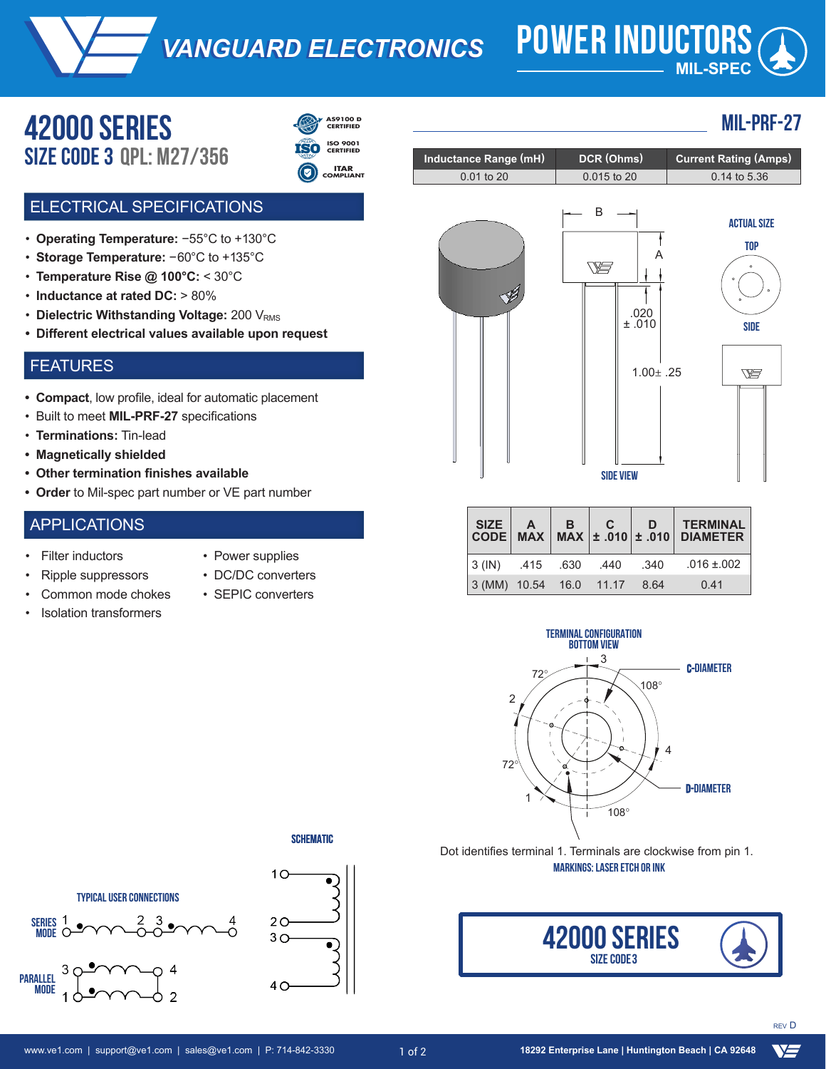*VANGUARD ELECTRONICS VANGUARD ELECTRONICS* **POWER INDUCTORS**

# **MIL-SPEC**

0.015 to 20 0.14 to 5.36

## **42000 serieS** Size code 3 **QPL: M27/356**



**ISO 9001 CERTIFIED**

**ITAR COMPLIANT**

#### ELECTRICAL SPECIFICATIONS

- **Operating Temperature:** −55°C to +130°C
- **Storage Temperature:** −60°C to +135°C
- **Temperature Rise @ 100°C:** < 30°C
- Inductance at rated DC: > 80% of nominal
- Dielectric Withstanding Voltage: 200 V<sub>RMS</sub>
- **Different electrical values available upon request**

#### FEATURES

- **• Compact**, low profile, ideal for automatic placement
- Built to meet **MIL-PRF-27** specifications
- **Terminations:** Tin-lead
- **• Magnetically shielded**
- **• Other termination finishes available**
- **• Order** to Mil-spec part number or VE part number

#### APPLICATIONS

- **Filter inductors**
- Power supplies
- Ripple suppressors
- Common mode chokes
	-
- DC/DC converters
- SEPIC converters







Inductance Range (mH) DCR (Ohms) Current Rating (Amps)

 $0.01$  to 20



**MIL-PRF-27**

**top**

|                           |  |      | SIZE A B C D TERMINAL<br>CODE MAX MAX ± .010 ± .010 DIAMETER |
|---------------------------|--|------|--------------------------------------------------------------|
|                           |  |      | $ 3 (IN)$ 415 630 440 340 016 ± 002                          |
| $3 (MM)$ 10.54 16.0 11.17 |  | 8.64 | 0.41                                                         |

**SIDE VIEW**



**SCHEMATIC** 

•)

•)



Dot identifies terminal 1. Terminals are clockwise from pin 1. **MARKINGS: LASER ETCH OR INK**